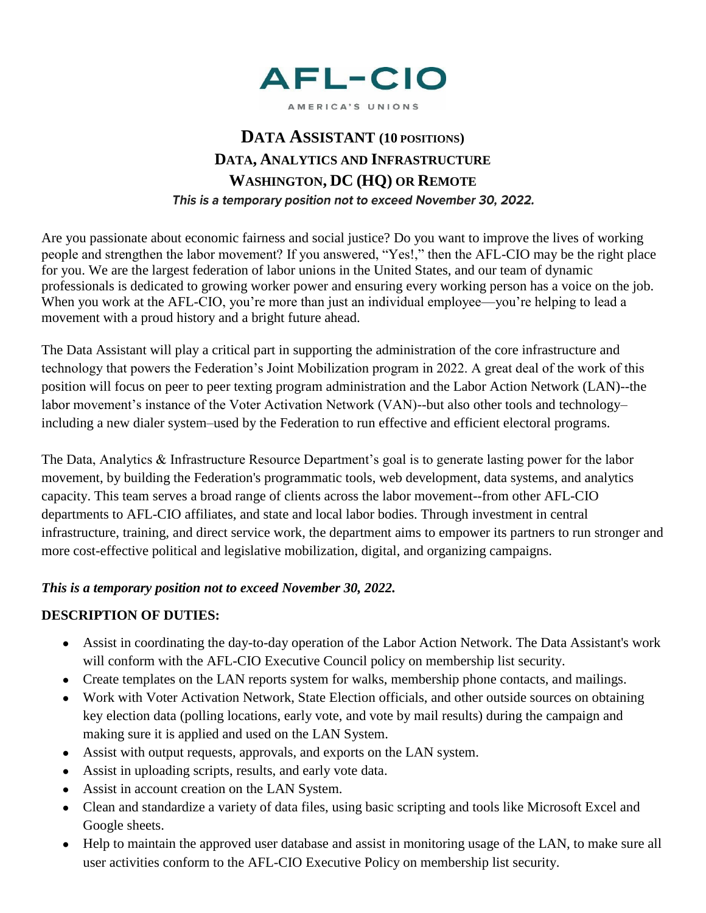

#### AMERICA'S UNIONS

# **DATA ASSISTANT (10 POSITIONS) DATA, ANALYTICS AND INFRASTRUCTURE WASHINGTON, DC (HQ) OR REMOTE** This is a temporary position not to exceed November 30, 2022.

Are you passionate about economic fairness and social justice? Do you want to improve the lives of working people and strengthen the labor movement? If you answered, "Yes!," then the AFL-CIO may be the right place for you. We are the largest federation of labor unions in the United States, and our team of dynamic professionals is dedicated to growing worker power and ensuring every working person has a voice on the job. When you work at the AFL-CIO, you're more than just an individual employee—you're helping to lead a movement with a proud history and a bright future ahead.

The Data Assistant will play a critical part in supporting the administration of the core infrastructure and technology that powers the Federation's Joint Mobilization program in 2022. A great deal of the work of this position will focus on peer to peer texting program administration and the Labor Action Network (LAN)--the labor movement's instance of the Voter Activation Network (VAN)--but also other tools and technology– including a new dialer system–used by the Federation to run effective and efficient electoral programs.

The Data, Analytics & Infrastructure Resource Department's goal is to generate lasting power for the labor movement, by building the Federation's programmatic tools, web development, data systems, and analytics capacity. This team serves a broad range of clients across the labor movement--from other AFL-CIO departments to AFL-CIO affiliates, and state and local labor bodies. Through investment in central infrastructure, training, and direct service work, the department aims to empower its partners to run stronger and more cost-effective political and legislative mobilization, digital, and organizing campaigns.

#### *This is a temporary position not to exceed November 30, 2022.*

# **DESCRIPTION OF DUTIES:**

- Assist in coordinating the day-to-day operation of the Labor Action Network. The Data Assistant's work will conform with the AFL-CIO Executive Council policy on membership list security.
- Create templates on the LAN reports system for walks, membership phone contacts, and mailings.
- Work with Voter Activation Network, State Election officials, and other outside sources on obtaining key election data (polling locations, early vote, and vote by mail results) during the campaign and making sure it is applied and used on the LAN System.
- Assist with output requests, approvals, and exports on the LAN system.
- Assist in uploading scripts, results, and early vote data.
- Assist in account creation on the LAN System.
- Clean and standardize a variety of data files, using basic scripting and tools like Microsoft Excel and Google sheets.
- Help to maintain the approved user database and assist in monitoring usage of the LAN, to make sure all user activities conform to the AFL-CIO Executive Policy on membership list security.